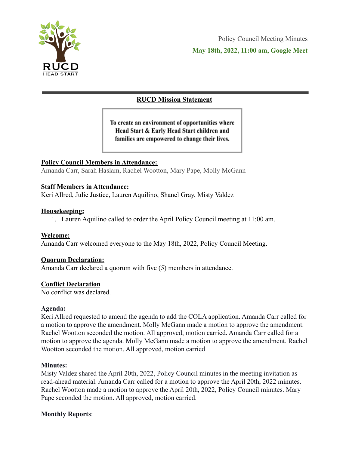

# **RUCD Mission Statement**

To create an environment of opportunities where Head Start & Early Head Start children and families are empowered to change their lives.

# **Policy Council Members in Attendance:**

Amanda Carr, Sarah Haslam, Rachel Wootton, Mary Pape, Molly McGann

#### **Staff Members in Attendance:**

Keri Allred, Julie Justice, Lauren Aquilino, Shanel Gray, Misty Valdez

#### **Housekeeping:**

1. Lauren Aquilino called to order the April Policy Council meeting at 11:00 am.

#### **Welcome:**

Amanda Carr welcomed everyone to the May 18th, 2022, Policy Council Meeting.

#### **Quorum Declaration:**

Amanda Carr declared a quorum with five (5) members in attendance.

# **Conflict Declaration**

No conflict was declared.

#### **Agenda:**

Keri Allred requested to amend the agenda to add the COLA application. Amanda Carr called for a motion to approve the amendment. Molly McGann made a motion to approve the amendment. Rachel Wootton seconded the motion. All approved, motion carried. Amanda Carr called for a motion to approve the agenda. Molly McGann made a motion to approve the amendment. Rachel Wootton seconded the motion. All approved, motion carried

#### **Minutes:**

Misty Valdez shared the April 20th, 2022, Policy Council minutes in the meeting invitation as read-ahead material. Amanda Carr called for a motion to approve the April 20th, 2022 minutes. Rachel Wootton made a motion to approve the April 20th, 2022, Policy Council minutes. Mary Pape seconded the motion. All approved, motion carried.

#### **Monthly Reports**: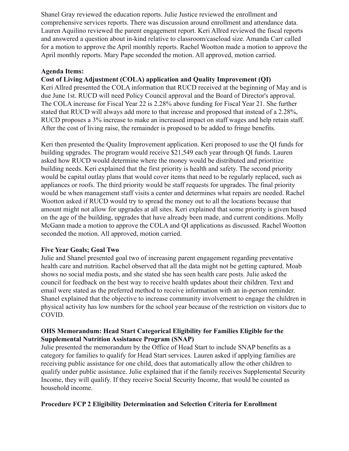Shanel Gray reviewed the education reports. Julie Justice reviewed the enrollment and comprehensive services reports. There was discussion around enrollment and attendance data. Lauren Aquilino reviewed the parent engagement report. Keri Allred reviewed the fiscal reports and answered a question about in-kind relative to classroom/caseload size. Amanda Carr called for a motion to approve the April monthly reports. Rachel Wootton made a motion to approve the April monthly reports. Mary Pape seconded the motion. All approved, motion carried.

#### **Agenda Items:**

#### **Cost of Living Adjustment (COLA) application and Quality Improvement (QI)**

Keri Allred presented the COLA information that RUCD received at the beginning of May and is due June 1st. RUCD will need Policy Council approval and the Board of Director's approval. The COLA increase for Fiscal Year 22 is 2.28% above funding for Fiscal Year 21. She further stated that RUCD will always add more to that increase and proposed that instead of a 2.28%, RUCD proposes a 3% increase to make an increased impact on staff wages and help retain staff. After the cost of living raise, the remainder is proposed to be added to fringe benefits.

Keri then presented the Quality Improvement application. Keri proposed to use the QI funds for building upgrades. The program would receive \$21,549 each year through QI funds. Lauren asked how RUCD would determine where the money would be distributed and prioritize building needs. Keri explained that the first priority is health and safety. The second priority would be capital outlay plans that would cover items that need to be regularly replaced, such as appliances or roofs. The third priority would be staff requests for upgrades. The final priority would be when management staff visits a center and determines what repairs are needed. Rachel Wootton asked if RUCD would try to spread the money out to all the locations because that amount might not allow for upgrades at all sites. Keri explained that some priority is given based on the age of the building, upgrades that have already been made, and current conditions. Molly McGann made a motion to approve the COLA and QI applications as discussed. Rachel Wootton seconded the motion. All approved, motion carried.

#### **Five Year Goals; Goal Two**

Julie and Shanel presented goal two of increasing parent engagement regarding preventative health care and nutrition. Rachel observed that all the data might not be getting captured. Moab shows no social media posts, and she stated she has seen health care posts. Julie asked the council for feedback on the best way to receive health updates about their children. Text and email were stated as the preferred method to receive information with an in-person reminder. Shanel explained that the objective to increase community involvement to engage the children in physical activity has low numbers for the school year because of the restriction on visitors due to COVID.

#### **OHS Memorandum: Head Start Categorical Eligibility for Families Eligible for the Supplemental Nutrition Assistance Program (SNAP)**

Julie presented the memorandum by the Office of Head Start to include SNAP benefits as a category for families to qualify for Head Start services. Lauren asked if applying families are receiving public assistance for one child, does that automatically allow the other children to qualify under public assistance. Julie explained that if the family receives Supplemental Security Income, they will qualify. If they receive Social Security Income, that would be counted as household income.

#### **Procedure FCP 2 Eligibility Determination and Selection Criteria for Enrollment**